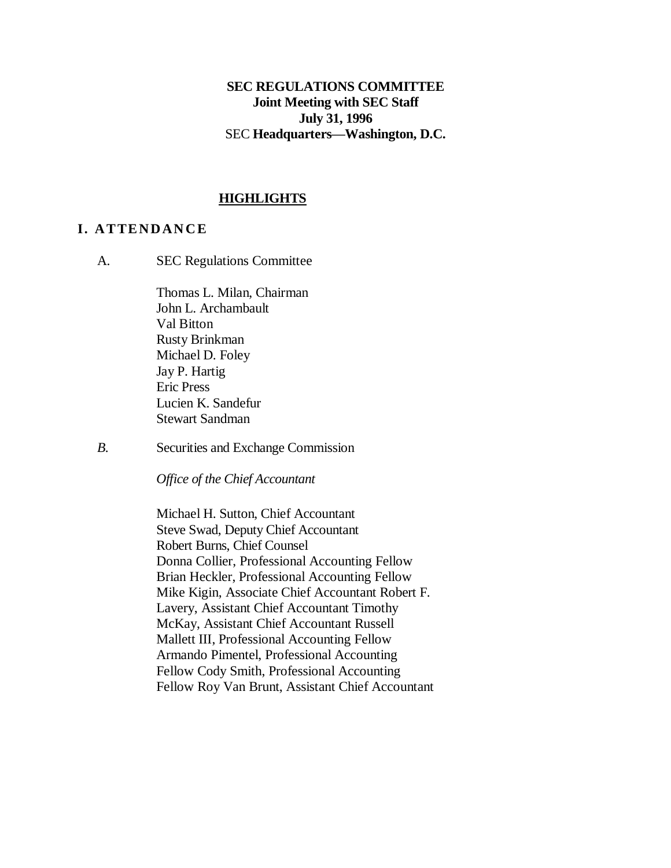## **SEC REGULATIONS COMMITTEE Joint Meeting with SEC Staff July 31, 1996** SEC **Headquarters—Washington, D.C.**

### **HIGHLIGHTS**

### **I. A T TE ND AN C E**

A. SEC Regulations Committee

Thomas L. Milan, Chairman John L. Archambault Val Bitton Rusty Brinkman Michael D. Foley Jay P. Hartig Eric Press Lucien K. Sandefur Stewart Sandman

*B.* Securities and Exchange Commission

*Office of the Chief Accountant*

Michael H. Sutton, Chief Accountant Steve Swad, Deputy Chief Accountant Robert Burns, Chief Counsel Donna Collier, Professional Accounting Fellow Brian Heckler, Professional Accounting Fellow Mike Kigin, Associate Chief Accountant Robert F. Lavery, Assistant Chief Accountant Timothy McKay, Assistant Chief Accountant Russell Mallett III, Professional Accounting Fellow Armando Pimentel, Professional Accounting Fellow Cody Smith, Professional Accounting Fellow Roy Van Brunt, Assistant Chief Accountant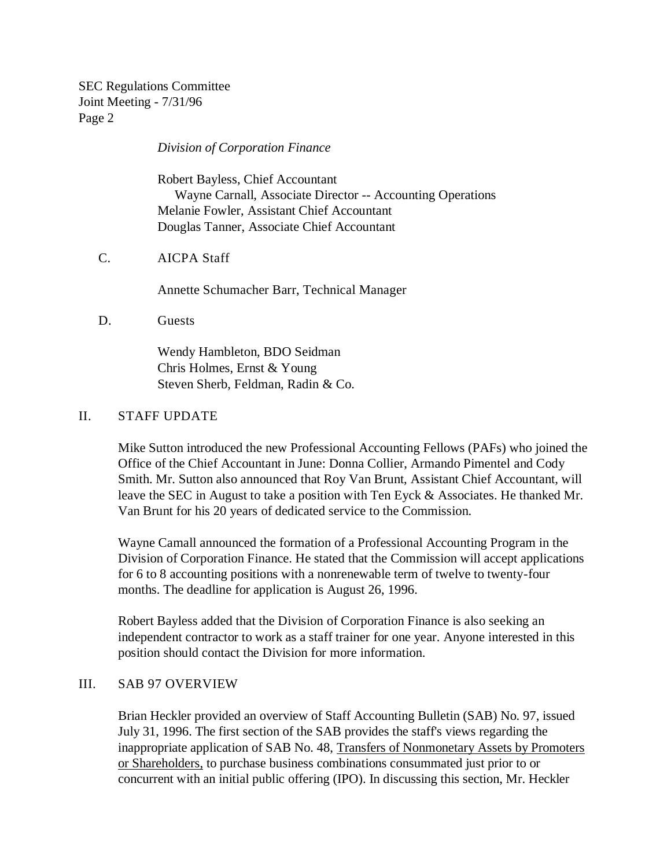*Division of Corporation Finance*

Robert Bayless, Chief Accountant Wayne Carnall, Associate Director -- Accounting Operations Melanie Fowler, Assistant Chief Accountant Douglas Tanner, Associate Chief Accountant

C. AICPA Staff

Annette Schumacher Barr, Technical Manager

D. Guests

Wendy Hambleton, BDO Seidman Chris Holmes, Ernst & Young Steven Sherb, Feldman, Radin & Co.

### II. STAFF UPDATE

Mike Sutton introduced the new Professional Accounting Fellows (PAFs) who joined the Office of the Chief Accountant in June: Donna Collier, Armando Pimentel and Cody Smith. Mr. Sutton also announced that Roy Van Brunt, Assistant Chief Accountant, will leave the SEC in August to take a position with Ten Eyck & Associates. He thanked Mr. Van Brunt for his 20 years of dedicated service to the Commission.

Wayne Camall announced the formation of a Professional Accounting Program in the Division of Corporation Finance. He stated that the Commission will accept applications for 6 to 8 accounting positions with a nonrenewable term of twelve to twenty-four months. The deadline for application is August 26, 1996.

Robert Bayless added that the Division of Corporation Finance is also seeking an independent contractor to work as a staff trainer for one year. Anyone interested in this position should contact the Division for more information.

### III. SAB 97 OVERVIEW

Brian Heckler provided an overview of Staff Accounting Bulletin (SAB) No. 97, issued July 31, 1996. The first section of the SAB provides the staff's views regarding the inappropriate application of SAB No. 48, Transfers of Nonmonetary Assets by Promoters or Shareholders, to purchase business combinations consummated just prior to or concurrent with an initial public offering (IPO). In discussing this section, Mr. Heckler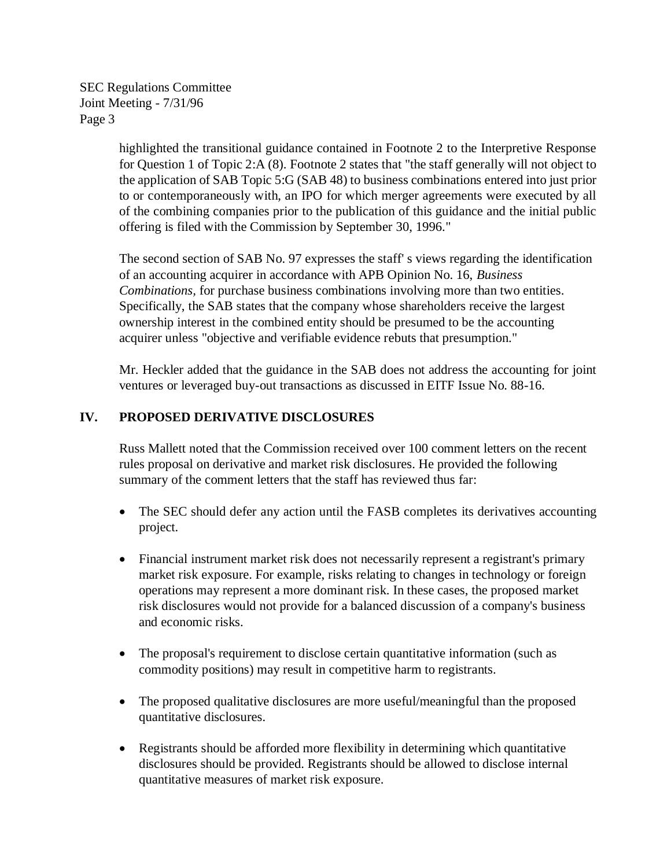> highlighted the transitional guidance contained in Footnote 2 to the Interpretive Response for Question 1 of Topic 2:A (8). Footnote 2 states that "the staff generally will not object to the application of SAB Topic 5:G (SAB 48) to business combinations entered into just prior to or contemporaneously with, an IPO for which merger agreements were executed by all of the combining companies prior to the publication of this guidance and the initial public offering is filed with the Commission by September 30, 1996."

The second section of SAB No. 97 expresses the staff' s views regarding the identification of an accounting acquirer in accordance with APB Opinion No. 16, *Business Combinations,* for purchase business combinations involving more than two entities. Specifically, the SAB states that the company whose shareholders receive the largest ownership interest in the combined entity should be presumed to be the accounting acquirer unless "objective and verifiable evidence rebuts that presumption."

Mr. Heckler added that the guidance in the SAB does not address the accounting for joint ventures or leveraged buy-out transactions as discussed in EITF Issue No. 88-16.

## **IV. PROPOSED DERIVATIVE DISCLOSURES**

Russ Mallett noted that the Commission received over 100 comment letters on the recent rules proposal on derivative and market risk disclosures. He provided the following summary of the comment letters that the staff has reviewed thus far:

- The SEC should defer any action until the FASB completes its derivatives accounting project.
- Financial instrument market risk does not necessarily represent a registrant's primary market risk exposure. For example, risks relating to changes in technology or foreign operations may represent a more dominant risk. In these cases, the proposed market risk disclosures would not provide for a balanced discussion of a company's business and economic risks.
- The proposal's requirement to disclose certain quantitative information (such as commodity positions) may result in competitive harm to registrants.
- The proposed qualitative disclosures are more useful/meaningful than the proposed quantitative disclosures.
- Registrants should be afforded more flexibility in determining which quantitative disclosures should be provided. Registrants should be allowed to disclose internal quantitative measures of market risk exposure.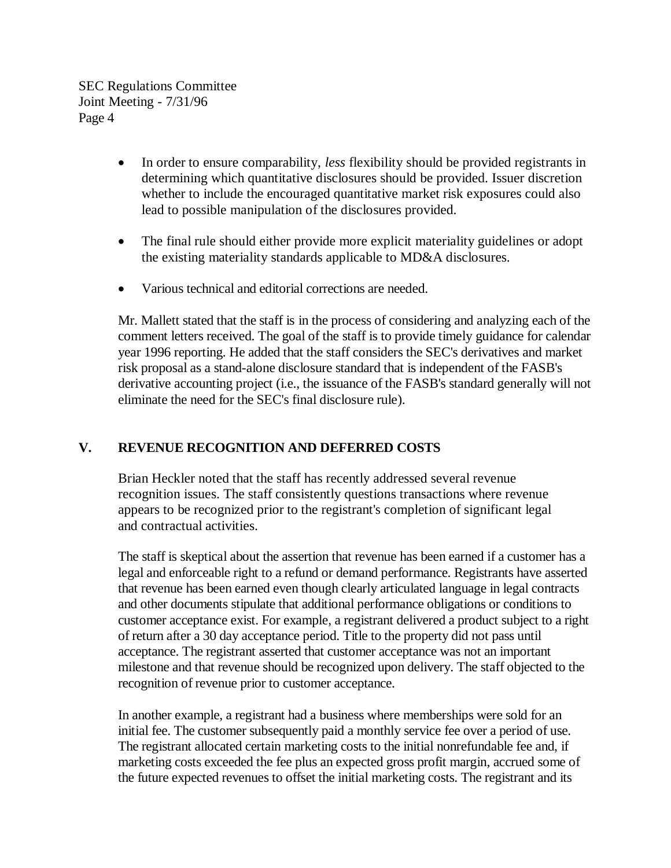- In order to ensure comparability, *less* flexibility should be provided registrants in determining which quantitative disclosures should be provided. Issuer discretion whether to include the encouraged quantitative market risk exposures could also lead to possible manipulation of the disclosures provided.
- The final rule should either provide more explicit materiality guidelines or adopt the existing materiality standards applicable to MD&A disclosures.
- Various technical and editorial corrections are needed.

Mr. Mallett stated that the staff is in the process of considering and analyzing each of the comment letters received. The goal of the staff is to provide timely guidance for calendar year 1996 reporting. He added that the staff considers the SEC's derivatives and market risk proposal as a stand-alone disclosure standard that is independent of the FASB's derivative accounting project (i.e., the issuance of the FASB's standard generally will not eliminate the need for the SEC's final disclosure rule).

# **V. REVENUE RECOGNITION AND DEFERRED COSTS**

Brian Heckler noted that the staff has recently addressed several revenue recognition issues. The staff consistently questions transactions where revenue appears to be recognized prior to the registrant's completion of significant legal and contractual activities.

The staff is skeptical about the assertion that revenue has been earned if a customer has a legal and enforceable right to a refund or demand performance. Registrants have asserted that revenue has been earned even though clearly articulated language in legal contracts and other documents stipulate that additional performance obligations or conditions to customer acceptance exist. For example, a registrant delivered a product subject to a right of return after a 30 day acceptance period. Title to the property did not pass until acceptance. The registrant asserted that customer acceptance was not an important milestone and that revenue should be recognized upon delivery. The staff objected to the recognition of revenue prior to customer acceptance.

In another example, a registrant had a business where memberships were sold for an initial fee. The customer subsequently paid a monthly service fee over a period of use. The registrant allocated certain marketing costs to the initial nonrefundable fee and, if marketing costs exceeded the fee plus an expected gross profit margin, accrued some of the future expected revenues to offset the initial marketing costs. The registrant and its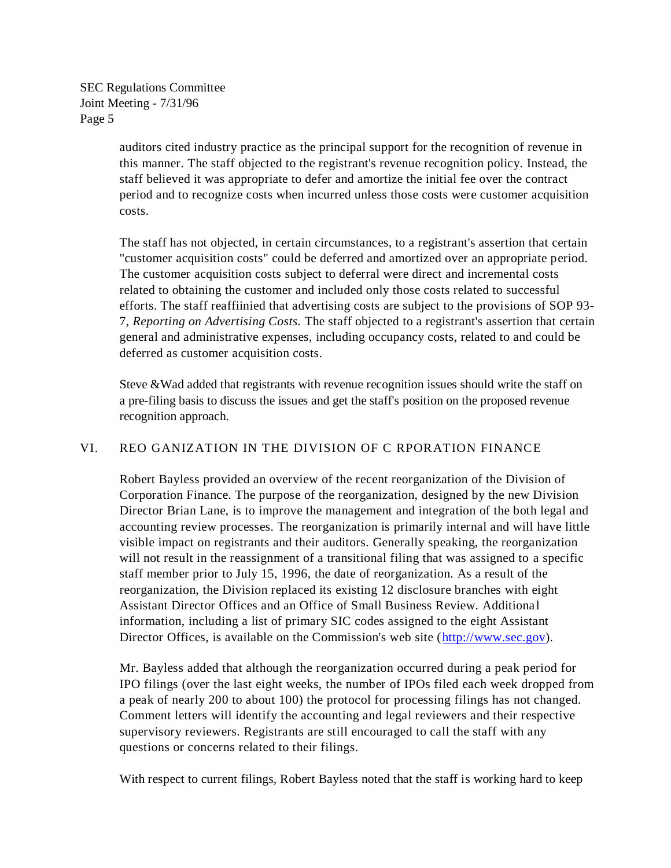> auditors cited industry practice as the principal support for the recognition of revenue in this manner. The staff objected to the registrant's revenue recognition policy. Instead, the staff believed it was appropriate to defer and amortize the initial fee over the contract period and to recognize costs when incurred unless those costs were customer acquisition costs.

The staff has not objected, in certain circumstances, to a registrant's assertion that certain "customer acquisition costs" could be deferred and amortized over an appropriate period. The customer acquisition costs subject to deferral were direct and incremental costs related to obtaining the customer and included only those costs related to successful efforts. The staff reaffiinied that advertising costs are subject to the provisions of SOP 93- 7, *Reporting on Advertising Costs.* The staff objected to a registrant's assertion that certain general and administrative expenses, including occupancy costs, related to and could be deferred as customer acquisition costs.

Steve &Wad added that registrants with revenue recognition issues should write the staff on a pre-filing basis to discuss the issues and get the staff's position on the proposed revenue recognition approach.

#### VI. REO GANIZATION IN THE DIVISION OF C RPORATION FINANCE

Robert Bayless provided an overview of the recent reorganization of the Division of Corporation Finance. The purpose of the reorganization, designed by the new Division Director Brian Lane, is to improve the management and integration of the both legal and accounting review processes. The reorganization is primarily internal and will have little visible impact on registrants and their auditors. Generally speaking, the reorganization will not result in the reassignment of a transitional filing that was assigned to a specific staff member prior to July 15, 1996, the date of reorganization. As a result of the reorganization, the Division replaced its existing 12 disclosure branches with eight Assistant Director Offices and an Office of Small Business Review. Additiona l information, including a list of primary SIC codes assigned to the eight Assistant Director Offices, is available on the Commission's web site [\(http://www.sec.gov\)](http://www.sec.gov/).

Mr. Bayless added that although the reorganization occurred during a peak period for IPO filings (over the last eight weeks, the number of IPOs filed each week dropped from a peak of nearly 200 to about 100) the protocol for processing filings has not changed. Comment letters will identify the accounting and legal reviewers and their respective supervisory reviewers. Registrants are still encouraged to call the staff with any questions or concerns related to their filings.

With respect to current filings, Robert Bayless noted that the staff is working hard to keep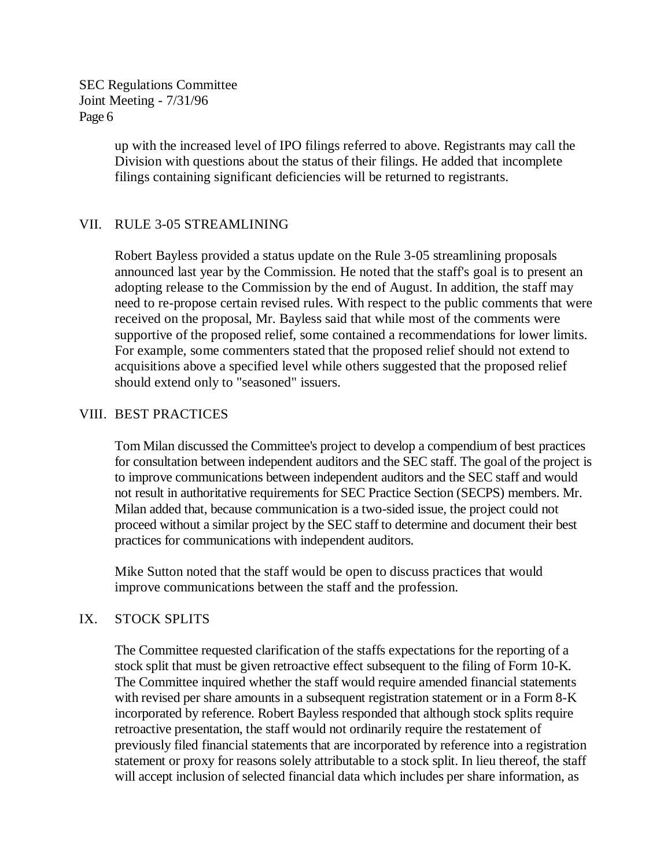> up with the increased level of IPO filings referred to above. Registrants may call the Division with questions about the status of their filings. He added that incomplete filings containing significant deficiencies will be returned to registrants.

## VII. RULE 3-05 STREAMLINING

Robert Bayless provided a status update on the Rule 3-05 streamlining proposals announced last year by the Commission. He noted that the staff's goal is to present an adopting release to the Commission by the end of August. In addition, the staff may need to re-propose certain revised rules. With respect to the public comments that were received on the proposal, Mr. Bayless said that while most of the comments were supportive of the proposed relief, some contained a recommendations for lower limits. For example, some commenters stated that the proposed relief should not extend to acquisitions above a specified level while others suggested that the proposed relief should extend only to "seasoned" issuers.

## VIII. BEST PRACTICES

Tom Milan discussed the Committee's project to develop a compendium of best practices for consultation between independent auditors and the SEC staff. The goal of the project is to improve communications between independent auditors and the SEC staff and would not result in authoritative requirements for SEC Practice Section (SECPS) members. Mr. Milan added that, because communication is a two-sided issue, the project could not proceed without a similar project by the SEC staff to determine and document their best practices for communications with independent auditors.

Mike Sutton noted that the staff would be open to discuss practices that would improve communications between the staff and the profession.

## IX. STOCK SPLITS

The Committee requested clarification of the staffs expectations for the reporting of a stock split that must be given retroactive effect subsequent to the filing of Form 10-K. The Committee inquired whether the staff would require amended financial statements with revised per share amounts in a subsequent registration statement or in a Form 8-K incorporated by reference. Robert Bayless responded that although stock splits require retroactive presentation, the staff would not ordinarily require the restatement of previously filed financial statements that are incorporated by reference into a registration statement or proxy for reasons solely attributable to a stock split. In lieu thereof, the staff will accept inclusion of selected financial data which includes per share information, as